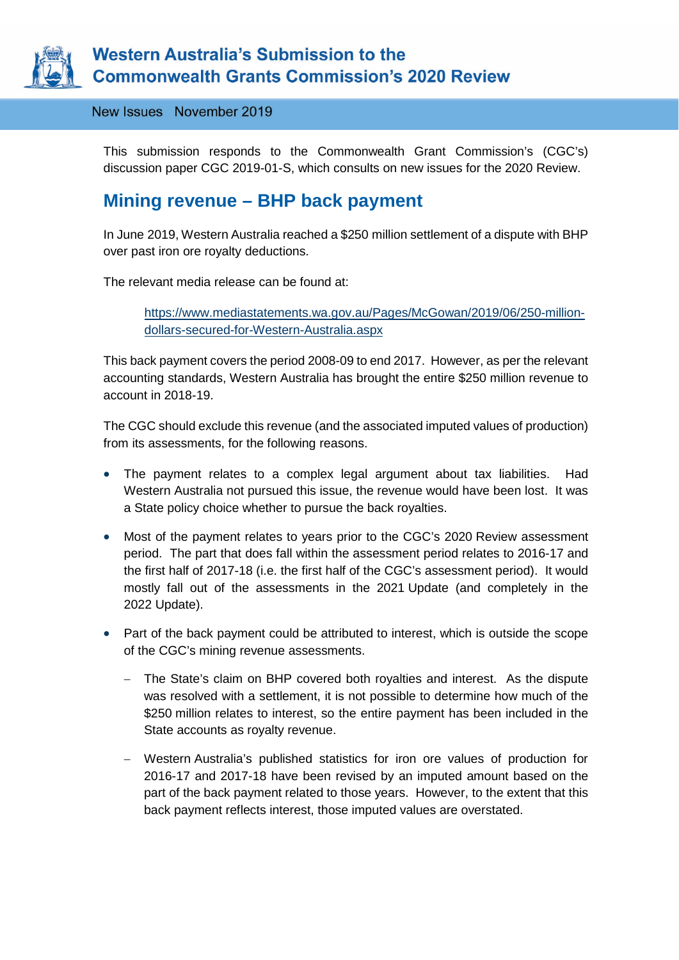

# **Western Australia's Submission to the Commonwealth Grants Commission's 2020 Review**

New Issues November 2019

This submission responds to the Commonwealth Grant Commission's (CGC's) discussion paper CGC 2019-01-S, which consults on new issues for the 2020 Review.

# **Mining revenue – BHP back payment**

In June 2019, Western Australia reached a \$250 million settlement of a dispute with BHP over past iron ore royalty deductions.

The relevant media release can be found at:

[https://www.mediastatements.wa.gov.au/Pages/McGowan/2019/06/250-million](https://www.mediastatements.wa.gov.au/Pages/McGowan/2019/06/250-million-dollars-secured-for-Western-Australia.aspx)[dollars-secured-for-Western-Australia.aspx](https://www.mediastatements.wa.gov.au/Pages/McGowan/2019/06/250-million-dollars-secured-for-Western-Australia.aspx)

This back payment covers the period 2008-09 to end 2017. However, as per the relevant accounting standards, Western Australia has brought the entire \$250 million revenue to account in 2018-19.

The CGC should exclude this revenue (and the associated imputed values of production) from its assessments, for the following reasons.

- The payment relates to a complex legal argument about tax liabilities. Had Western Australia not pursued this issue, the revenue would have been lost. It was a State policy choice whether to pursue the back royalties.
- Most of the payment relates to years prior to the CGC's 2020 Review assessment period. The part that does fall within the assessment period relates to 2016-17 and the first half of 2017-18 (i.e. the first half of the CGC's assessment period). It would mostly fall out of the assessments in the 2021 Update (and completely in the 2022 Update).
- Part of the back payment could be attributed to interest, which is outside the scope of the CGC's mining revenue assessments.
	- − The State's claim on BHP covered both royalties and interest. As the dispute was resolved with a settlement, it is not possible to determine how much of the \$250 million relates to interest, so the entire payment has been included in the State accounts as royalty revenue.
	- − Western Australia's published statistics for iron ore values of production for 2016-17 and 2017-18 have been revised by an imputed amount based on the part of the back payment related to those years. However, to the extent that this back payment reflects interest, those imputed values are overstated.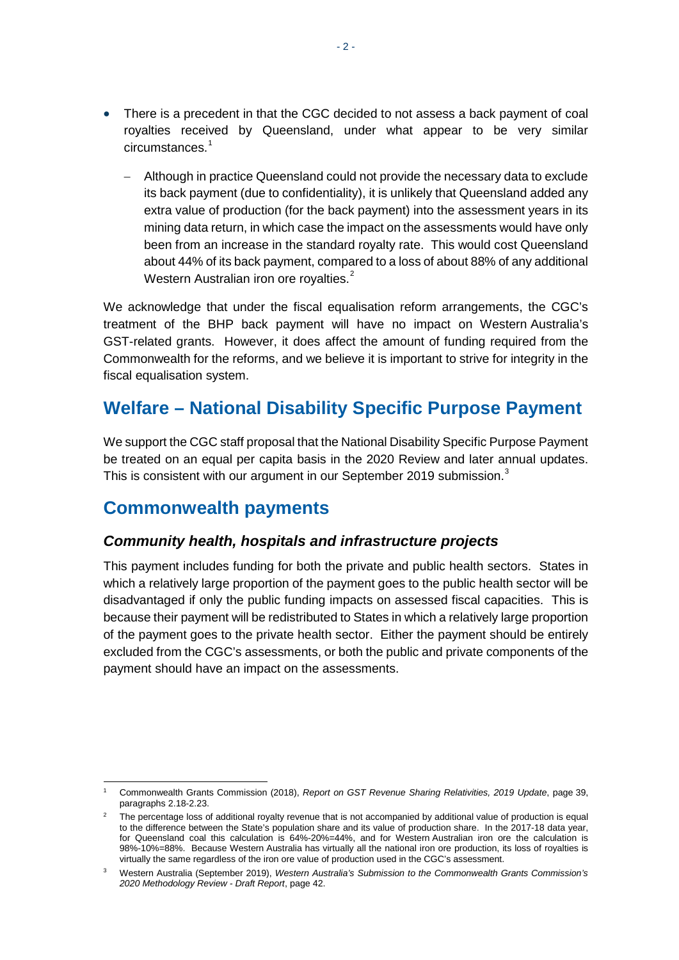- There is a precedent in that the CGC decided to not assess a back payment of coal royalties received by Queensland, under what appear to be very similar circumstances.<sup>[1](#page-1-0)</sup>
	- − Although in practice Queensland could not provide the necessary data to exclude its back payment (due to confidentiality), it is unlikely that Queensland added any extra value of production (for the back payment) into the assessment years in its mining data return, in which case the impact on the assessments would have only been from an increase in the standard royalty rate. This would cost Queensland about 44% of its back payment, compared to a loss of about 88% of any additional Western Australian iron ore royalties.<sup>[2](#page-1-1)</sup>

We acknowledge that under the fiscal equalisation reform arrangements, the CGC's treatment of the BHP back payment will have no impact on Western Australia's GST-related grants. However, it does affect the amount of funding required from the Commonwealth for the reforms, and we believe it is important to strive for integrity in the fiscal equalisation system.

# **Welfare – National Disability Specific Purpose Payment**

We support the CGC staff proposal that the National Disability Specific Purpose Payment be treated on an equal per capita basis in the 2020 Review and later annual updates. This is consistent with our argument in our September 2019 submission.<sup>[3](#page-1-2)</sup>

### **Commonwealth payments**

#### *Community health, hospitals and infrastructure projects*

This payment includes funding for both the private and public health sectors. States in which a relatively large proportion of the payment goes to the public health sector will be disadvantaged if only the public funding impacts on assessed fiscal capacities. This is because their payment will be redistributed to States in which a relatively large proportion of the payment goes to the private health sector. Either the payment should be entirely excluded from the CGC's assessments, or both the public and private components of the payment should have an impact on the assessments.

<span id="page-1-0"></span> <sup>1</sup> Commonwealth Grants Commission (2018), *Report on GST Revenue Sharing Relativities, 2019 Update*, page 39, paragraphs 2.18-2.23.

<span id="page-1-1"></span><sup>&</sup>lt;sup>2</sup> The percentage loss of additional royalty revenue that is not accompanied by additional value of production is equal to the difference between the State's population share and its value of production share. In the 2017-18 data year, for Queensland coal this calculation is 64%-20%=44%, and for Western Australian iron ore the calculation is 98%-10%=88%. Because Western Australia has virtually all the national iron ore production, its loss of royalties is virtually the same regardless of the iron ore value of production used in the CGC's assessment.

<span id="page-1-2"></span><sup>3</sup> Western Australia (September 2019), *Western Australia's Submission to the Commonwealth Grants Commission's 2020 Methodology Review - Draft Report*, page 42.